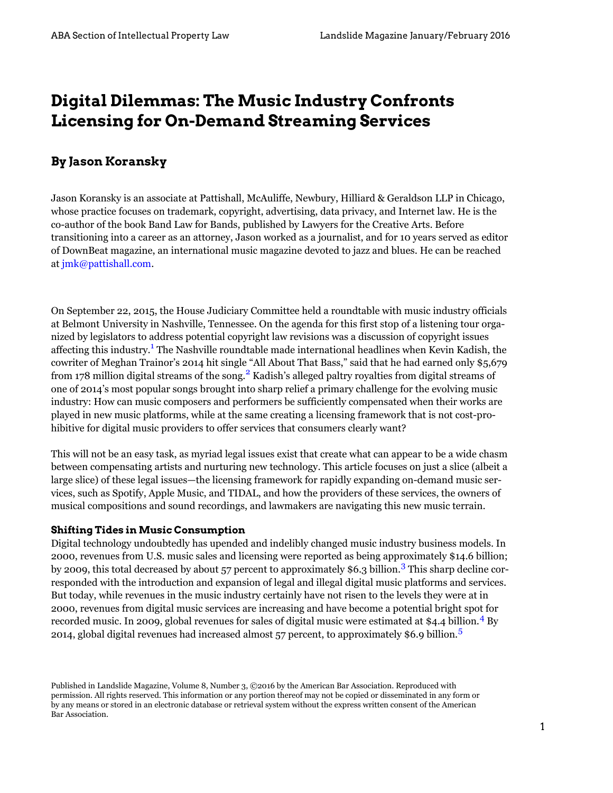# **Digital Dilemmas: The Music Industry Confronts Licensing for On-Demand Streaming Services**

# **By Jason Koransky**

Jason Koransky is an associate at Pattishall, McAuliffe, Newbury, Hilliard & Geraldson LLP in Chicago, whose practice focuses on trademark, copyright, advertising, data privacy, and Internet law. He is the co-author of the book Band Law for Bands, published by Lawyers for the Creative Arts. Before transitioning into a career as an attorney, Jason worked as a journalist, and for 10 years served as editor of DownBeat magazine, an international music magazine devoted to jazz and blues. He can be reached at [jmk@pattishall.com](http://mailto:jmk@pattishall.com).

<span id="page-0-1"></span><span id="page-0-0"></span>On September 22, 2015, the House Judiciary Committee held a roundtable with music industry officials at Belmont University in Nashville, Tennessee. On the agenda for this first stop of a listening tour organized by legislators to address potential copyright law revisions was a discussion of copyright issues affecting this industry.<sup>[1](#page-6-0)</sup> The Nashville roundtable made international headlines when Kevin Kadish, the cowriter of Meghan Trainor's 2014 hit single "All About That Bass," said that he had earned only \$5,679 from 178 million digital streams of the song.<sup>[2](#page-6-1)</sup> Kadish's alleged paltry royalties from digital streams of one of 2014's most popular songs brought into sharp relief a primary challenge for the evolving music industry: How can music composers and performers be sufficiently compensated when their works are played in new music platforms, while at the same creating a licensing framework that is not cost-prohibitive for digital music providers to offer services that consumers clearly want?

This will not be an easy task, as myriad legal issues exist that create what can appear to be a wide chasm between compensating artists and nurturing new technology. This article focuses on just a slice (albeit a large slice) of these legal issues—the licensing framework for rapidly expanding on-demand music services, such as Spotify, Apple Music, and TIDAL, and how the providers of these services, the owners of musical compositions and sound recordings, and lawmakers are navigating this new music terrain.

## **Shifting Tides in Music Consumption**

<span id="page-0-2"></span>Digital technology undoubtedly has upended and indelibly changed music industry business models. In 2000, revenues from U.S. music sales and licensing were reported as being approximately \$14.6 billion; by 2009, this total decreased by about 57 percent to approximately \$6.[3](#page-6-2) billion.<sup>3</sup> This sharp decline corresponded with the introduction and expansion of legal and illegal digital music platforms and services. But today, while revenues in the music industry certainly have not risen to the levels they were at in 2000, revenues from digital music services are increasing and have become a potential bright spot for recorded music. In 2009, global revenues for sales of digital music were estimated at  $$4.4$  $$4.4$  $$4.4$  billion.<sup>4</sup> By 2014, global digital revenues had increased almost  $57$  $57$  percent, to approximately \$6.9 billion.<sup>5</sup>

<span id="page-0-4"></span><span id="page-0-3"></span>Published in Landslide Magazine, Volume 8, Number 3, ©2016 by the American Bar Association. Reproduced with permission. All rights reserved. This information or any portion thereof may not be copied or disseminated in any form or by any means or stored in an electronic database or retrieval system without the express written consent of the American Bar Association.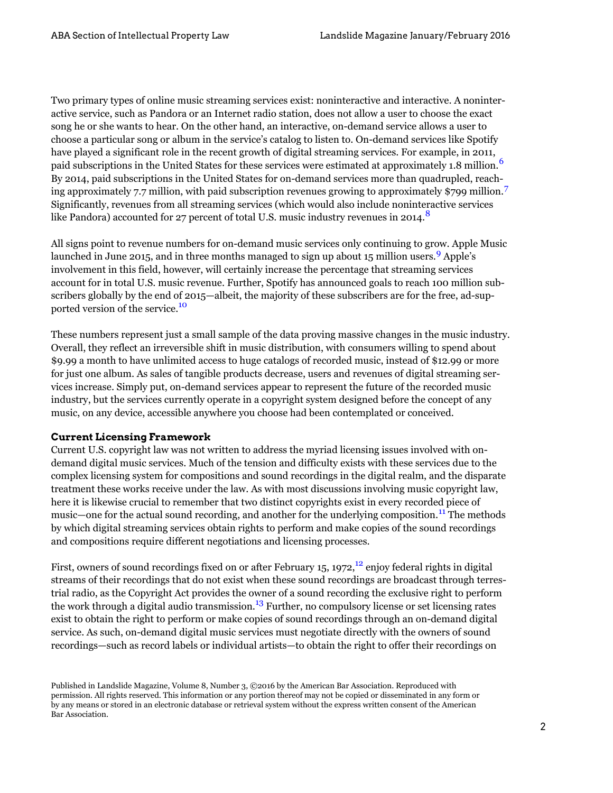<span id="page-1-0"></span>Two primary types of online music streaming services exist: noninteractive and interactive. A noninteractive service, such as Pandora or an Internet radio station, does not allow a user to choose the exact song he or she wants to hear. On the other hand, an interactive, on-demand service allows a user to choose a particular song or album in the service's catalog to listen to. On-demand services like Spotify have played a significant role in the recent growth of digital streaming services. For example, in 2011, paid subscriptions in the United States for these services were estimated at approximately 1.8 million.<sup>[6](#page-6-5)</sup> By 2014, paid subscriptions in the United States for on-demand services more than quadrupled, reaching approximately 7.7 million, with paid subscription revenues growing to approximately \$799 million.[7](#page-6-6)  Significantly, revenues from all streaming services (which would also include noninteractive services like Pandora) accounted for 27 percent of total U.S. music industry revenues in 2014.<sup>8</sup>

<span id="page-1-3"></span><span id="page-1-2"></span><span id="page-1-1"></span>All signs point to revenue numbers for on-demand music services only continuing to grow. Apple Music launched in June 2015, and in three months managed to sign up about 15 million users.<sup>9</sup> Apple's involvement in this field, however, will certainly increase the percentage that streaming services account for in total U.S. music revenue. Further, Spotify has announced goals to reach 100 million subscribers globally by the end of 2015—albeit, the majority of these subscribers are for the free, ad-supported version of the service.<sup>10</sup>

<span id="page-1-4"></span>These numbers represent just a small sample of the data proving massive changes in the music industry. Overall, they reflect an irreversible shift in music distribution, with consumers willing to spend about \$9.99 a month to have unlimited access to huge catalogs of recorded music, instead of \$12.99 or more for just one album. As sales of tangible products decrease, users and revenues of digital streaming services increase. Simply put, on-demand services appear to represent the future of the recorded music industry, but the services currently operate in a copyright system designed before the concept of any music, on any device, accessible anywhere you choose had been contemplated or conceived.

## **Current Licensing Framework**

Current U.S. copyright law was not written to address the myriad licensing issues involved with ondemand digital music services. Much of the tension and difficulty exists with these services due to the complex licensing system for compositions and sound recordings in the digital realm, and the disparate treatment these works receive under the law. As with most discussions involving music copyright law, here it is likewise crucial to remember that two distinct copyrights exist in every recorded piece of music—one for the actual sound recording, and another for the underlying composition.<sup>[11](#page-7-1)</sup> The methods by which digital streaming services obtain rights to perform and make copies of the sound recordings and compositions require different negotiations and licensing processes.

<span id="page-1-7"></span><span id="page-1-6"></span><span id="page-1-5"></span>First, owners of sound recordings fixed on or after February 15, 1972, $^{12}$  enjoy federal rights in digital streams of their recordings that do not exist when these sound recordings are broadcast through terrestrial radio, as the Copyright Act provides the owner of a sound recording the exclusive right to perform the work through a digital audio transmission.<sup>[13](#page-7-3)</sup> Further, no compulsory license or set licensing rates exist to obtain the right to perform or make copies of sound recordings through an on-demand digital service. As such, on-demand digital music services must negotiate directly with the owners of sound recordings—such as record labels or individual artists—to obtain the right to offer their recordings on

Published in Landslide Magazine, Volume 8, Number 3, ©2016 by the American Bar Association. Reproduced with permission. All rights reserved. This information or any portion thereof may not be copied or disseminated in any form or by any means or stored in an electronic database or retrieval system without the express written consent of the American Bar Association.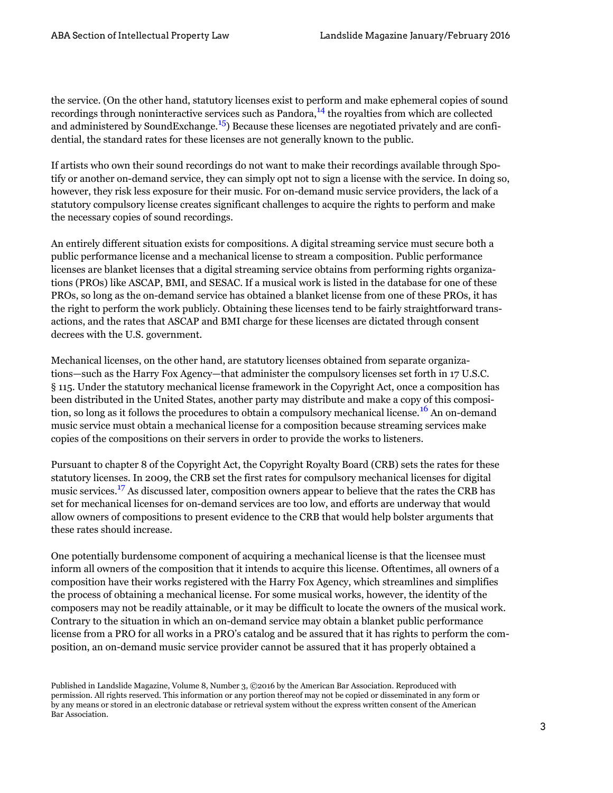<span id="page-2-1"></span><span id="page-2-0"></span>the service. (On the other hand, statutory licenses exist to perform and make ephemeral copies of sound recordings through noninteractive services such as Pandora, $^{14}$  the royalties from which are collected and administered by SoundExchange.<sup>15</sup>) Because these licenses are negotiated privately and are confidential, the standard rates for these licenses are not generally known to the public.

If artists who own their sound recordings do not want to make their recordings available through Spotify or another on-demand service, they can simply opt not to sign a license with the service. In doing so, however, they risk less exposure for their music. For on-demand music service providers, the lack of a statutory compulsory license creates significant challenges to acquire the rights to perform and make the necessary copies of sound recordings.

An entirely different situation exists for compositions. A digital streaming service must secure both a public performance license and a mechanical license to stream a composition. Public performance licenses are blanket licenses that a digital streaming service obtains from performing rights organizations (PROs) like ASCAP, BMI, and SESAC. If a musical work is listed in the database for one of these PROs, so long as the on-demand service has obtained a blanket license from one of these PROs, it has the right to perform the work publicly. Obtaining these licenses tend to be fairly straightforward transactions, and the rates that ASCAP and BMI charge for these licenses are dictated through consent decrees with the U.S. government.

<span id="page-2-2"></span>Mechanical licenses, on the other hand, are statutory licenses obtained from separate organizations—such as the Harry Fox Agency—that administer the compulsory licenses set forth in 17 U.S.C. § 115. Under the statutory mechanical license framework in the Copyright Act, once a composition has been distributed in the United States, another party may distribute and make a copy of this composition, so long as it follows the procedures to obtain a compulsory mechanical license.<sup>16</sup> An on-demand music service must obtain a mechanical license for a composition because streaming services make copies of the compositions on their servers in order to provide the works to listeners.

<span id="page-2-3"></span>Pursuant to chapter 8 of the Copyright Act, the Copyright Royalty Board (CRB) sets the rates for these statutory licenses. In 2009, the CRB set the first rates for compulsory mechanical licenses for digital music services.<sup>[17](#page-7-7)</sup> As discussed later, composition owners appear to believe that the rates the CRB has set for mechanical licenses for on-demand services are too low, and efforts are underway that would allow owners of compositions to present evidence to the CRB that would help bolster arguments that these rates should increase.

One potentially burdensome component of acquiring a mechanical license is that the licensee must inform all owners of the composition that it intends to acquire this license. Oftentimes, all owners of a composition have their works registered with the Harry Fox Agency, which streamlines and simplifies the process of obtaining a mechanical license. For some musical works, however, the identity of the composers may not be readily attainable, or it may be difficult to locate the owners of the musical work. Contrary to the situation in which an on-demand service may obtain a blanket public performance license from a PRO for all works in a PRO's catalog and be assured that it has rights to perform the composition, an on-demand music service provider cannot be assured that it has properly obtained a

Published in Landslide Magazine, Volume 8, Number 3, ©2016 by the American Bar Association. Reproduced with permission. All rights reserved. This information or any portion thereof may not be copied or disseminated in any form or by any means or stored in an electronic database or retrieval system without the express written consent of the American Bar Association.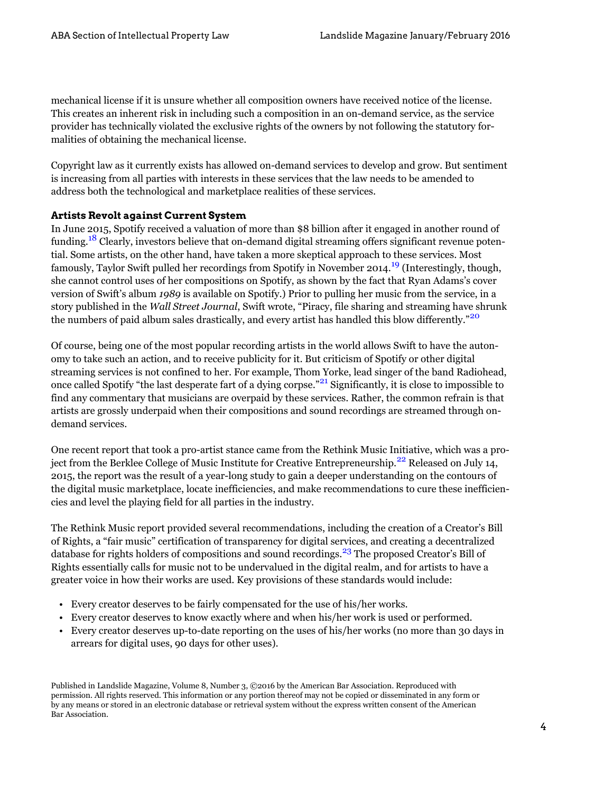mechanical license if it is unsure whether all composition owners have received notice of the license. This creates an inherent risk in including such a composition in an on-demand service, as the service provider has technically violated the exclusive rights of the owners by not following the statutory formalities of obtaining the mechanical license.

Copyright law as it currently exists has allowed on-demand services to develop and grow. But sentiment is increasing from all parties with interests in these services that the law needs to be amended to address both the technological and marketplace realities of these services.

#### **Artists Revolt against Current System**

<span id="page-3-1"></span><span id="page-3-0"></span>In June 2015, Spotify received a valuation of more than \$8 billion after it engaged in another round of funding.<sup>18</sup> Clearly, investors believe that on-demand digital streaming offers significant revenue potential. Some artists, on the other hand, have taken a more skeptical approach to these services. Most famously, Taylor Swift pulled her recordings from Spotify in November 2014.<sup>[19](#page-7-9)</sup> (Interestingly, though, she cannot control uses of her compositions on Spotify, as shown by the fact that Ryan Adams's cover version of Swift's album *1989* is available on Spotify.) Prior to pulling her music from the service, in a story published in the *Wall Street Journal*, Swift wrote, "Piracy, file sharing and streaming have shrunk the numbers of paid album sales drastically, and every artist has handled this blow differently."<sup>[20](#page-7-10)</sup>

<span id="page-3-3"></span><span id="page-3-2"></span>Of course, being one of the most popular recording artists in the world allows Swift to have the autonomy to take such an action, and to receive publicity for it. But criticism of Spotify or other digital streaming services is not confined to her. For example, Thom Yorke, lead singer of the band Radiohead, once called Spotify "the last desperate fart of a dying corpse."<sup>21</sup> Significantly, it is close to impossible to find any commentary that musicians are overpaid by these services. Rather, the common refrain is that artists are grossly underpaid when their compositions and sound recordings are streamed through ondemand services.

<span id="page-3-4"></span>One recent report that took a pro-artist stance came from the Rethink Music Initiative, which was a project from the Berklee College of Music Institute for Creative Entrepreneurship.<sup>22</sup> Released on July 14, 2015, the report was the result of a year-long study to gain a deeper understanding on the contours of the digital music marketplace, locate inefficiencies, and make recommendations to cure these inefficiencies and level the playing field for all parties in the industry.

<span id="page-3-5"></span>The Rethink Music report provided several recommendations, including the creation of a Creator's Bill of Rights, a "fair music" certification of transparency for digital services, and creating a decentralized database for rights holders of compositions and sound recordings.<sup>[23](#page-7-13)</sup> The proposed Creator's Bill of Rights essentially calls for music not to be undervalued in the digital realm, and for artists to have a greater voice in how their works are used. Key provisions of these standards would include:

- • Every creator deserves to be fairly compensated for the use of his/her works.
- • Every creator deserves to know exactly where and when his/her work is used or performed.
- • Every creator deserves up-to-date reporting on the uses of his/her works (no more than 30 days in arrears for digital uses, 90 days for other uses).

Published in Landslide Magazine, Volume 8, Number 3, ©2016 by the American Bar Association. Reproduced with permission. All rights reserved. This information or any portion thereof may not be copied or disseminated in any form or by any means or stored in an electronic database or retrieval system without the express written consent of the American Bar Association.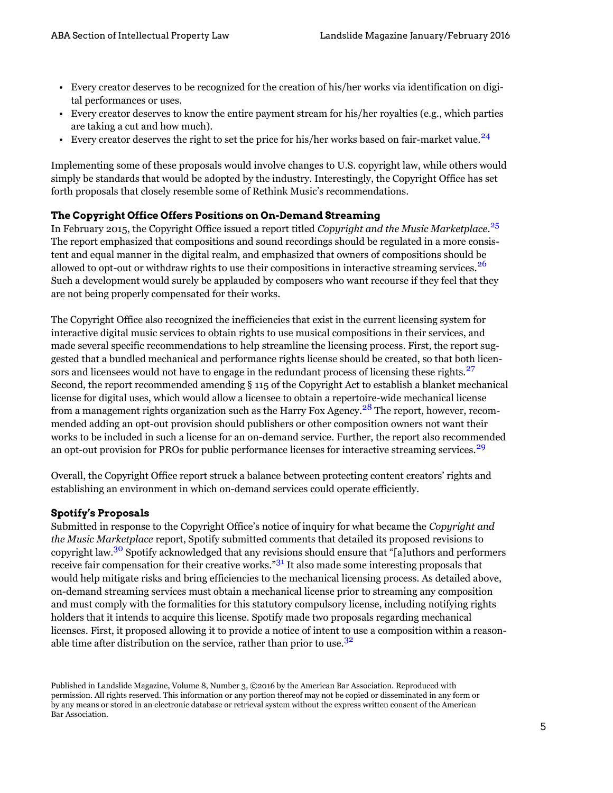- • Every creator deserves to be recognized for the creation of his/her works via identification on digital performances or uses.
- • Every creator deserves to know the entire payment stream for his/her royalties (e.g., which parties are taking a cut and how much).
- Every creator deserves the right to set the price for his/her works based on fair-market value.<sup>24</sup>

<span id="page-4-0"></span>Implementing some of these proposals would involve changes to U.S. copyright law, while others would simply be standards that would be adopted by the industry. Interestingly, the Copyright Office has set forth proposals that closely resemble some of Rethink Music's recommendations.

## **The Copyright Office Offers Positions on On-Demand Streaming**

<span id="page-4-2"></span><span id="page-4-1"></span>In February 2015, the Copyright Office issued a report titled *Copyright and the Music Marketplace*. [25](#page-7-15)  The report emphasized that compositions and sound recordings should be regulated in a more consistent and equal manner in the digital realm, and emphasized that owners of compositions should be allowed to opt-out or withdraw rights to use their compositions in interactive streaming services.<sup>[26](#page-7-16)</sup> Such a development would surely be applauded by composers who want recourse if they feel that they are not being properly compensated for their works.

<span id="page-4-3"></span>The Copyright Office also recognized the inefficiencies that exist in the current licensing system for interactive digital music services to obtain rights to use musical compositions in their services, and made several specific recommendations to help streamline the licensing process. First, the report suggested that a bundled mechanical and performance rights license should be created, so that both licensors and licensees would not have to engage in the redundant process of licensing these rights.<sup>27</sup> Second, the report recommended amending § 115 of the Copyright Act to establish a blanket mechanical license for digital uses, which would allow a licensee to obtain a repertoire-wide mechanical license from a management rights organization such as the Harry Fox Agency.<sup>28</sup> The report, however, recommended adding an opt-out provision should publishers or other composition owners not want their works to be included in such a license for an on-demand service. Further, the report also recommended an opt-out provision for PROs for public performance licenses for interactive streaming services.<sup>[29](#page-7-19)</sup>

<span id="page-4-5"></span><span id="page-4-4"></span>Overall, the Copyright Office report struck a balance between protecting content creators' rights and establishing an environment in which on-demand services could operate efficiently.

## **Spotify's Proposals**

<span id="page-4-7"></span><span id="page-4-6"></span>Submitted in response to the Copyright Office's notice of inquiry for what became the *Copyright and the Music Marketplace* report, Spotify submitted comments that detailed its proposed revisions to copyright law.<sup>30</sup> Spotify acknowledged that any revisions should ensure that "[a]uthors and performers receive fair compensation for their creative works.<sup>"[31](#page-8-0)</sup> It also made some interesting proposals that would help mitigate risks and bring efficiencies to the mechanical licensing process. As detailed above, on-demand streaming services must obtain a mechanical license prior to streaming any composition and must comply with the formalities for this statutory compulsory license, including notifying rights holders that it intends to acquire this license. Spotify made two proposals regarding mechanical licenses. First, it proposed allowing it to provide a notice of intent to use a composition within a reason-able time after distribution on the service, rather than prior to use.<sup>[32](#page-8-1)</sup>

<span id="page-4-8"></span>Published in Landslide Magazine, Volume 8, Number 3, ©2016 by the American Bar Association. Reproduced with permission. All rights reserved. This information or any portion thereof may not be copied or disseminated in any form or by any means or stored in an electronic database or retrieval system without the express written consent of the American Bar Association.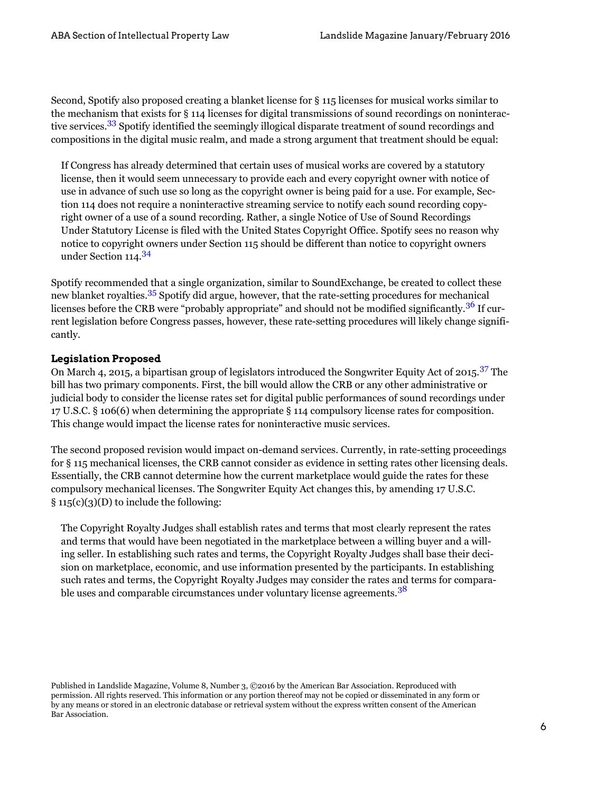<span id="page-5-0"></span>Second, Spotify also proposed creating a blanket license for § 115 licenses for musical works similar to the mechanism that exists for § 114 licenses for digital transmissions of sound recordings on noninterac-tive services.<sup>[33](#page-8-2)</sup> Spotify identified the seemingly illogical disparate treatment of sound recordings and compositions in the digital music realm, and made a strong argument that treatment should be equal:

If Congress has already determined that certain uses of musical works are covered by a statutory license, then it would seem unnecessary to provide each and every copyright owner with notice of use in advance of such use so long as the copyright owner is being paid for a use. For example, Section 114 does not require a noninteractive streaming service to notify each sound recording copyright owner of a use of a sound recording. Rather, a single Notice of Use of Sound Recordings Under Statutory License is filed with the United States Copyright Office. Spotify sees no reason why notice to copyright owners under Section 115 should be different than notice to copyright owners under Section 114.<sup>34</sup>

<span id="page-5-3"></span><span id="page-5-2"></span><span id="page-5-1"></span>Spotify recommended that a single organization, similar to SoundExchange, be created to collect these new blanket royalties.<sup>[35](#page-8-4)</sup> Spotify did argue, however, that the rate-setting procedures for mechanical licenses before the CRB were "probably appropriate" and should not be modified significantly.<sup>36</sup> If current legislation before Congress passes, however, these rate-setting procedures will likely change significantly.

#### **Legislation Proposed**

<span id="page-5-4"></span>On March 4, 2015, a bipartisan group of legislators introduced the Songwriter Equity Act of 2015.<sup>[37](#page-8-6)</sup> The bill has two primary components. First, the bill would allow the CRB or any other administrative or judicial body to consider the license rates set for digital public performances of sound recordings under 17 U.S.C. § 106(6) when determining the appropriate § 114 compulsory license rates for composition. This change would impact the license rates for noninteractive music services.

The second proposed revision would impact on-demand services. Currently, in rate-setting proceedings for § 115 mechanical licenses, the CRB cannot consider as evidence in setting rates other licensing deals. Essentially, the CRB cannot determine how the current marketplace would guide the rates for these compulsory mechanical licenses. The Songwriter Equity Act changes this, by amending 17 U.S.C.  $\S$  115(c)(3)(D) to include the following:

<span id="page-5-5"></span>The Copyright Royalty Judges shall establish rates and terms that most clearly represent the rates and terms that would have been negotiated in the marketplace between a willing buyer and a willing seller. In establishing such rates and terms, the Copyright Royalty Judges shall base their decision on marketplace, economic, and use information presented by the participants. In establishing such rates and terms, the Copyright Royalty Judges may consider the rates and terms for comparable uses and comparable circumstances under voluntary license agreements.<sup>38</sup>

Published in Landslide Magazine, Volume 8, Number 3, ©2016 by the American Bar Association. Reproduced with permission. All rights reserved. This information or any portion thereof may not be copied or disseminated in any form or by any means or stored in an electronic database or retrieval system without the express written consent of the American Bar Association.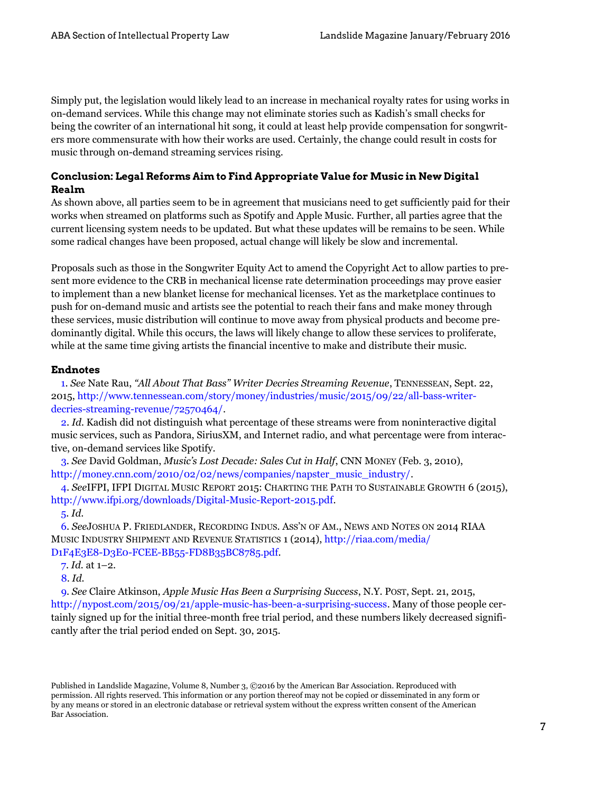Simply put, the legislation would likely lead to an increase in mechanical royalty rates for using works in on-demand services. While this change may not eliminate stories such as Kadish's small checks for being the cowriter of an international hit song, it could at least help provide compensation for songwriters more commensurate with how their works are used. Certainly, the change could result in costs for music through on-demand streaming services rising.

## **Conclusion: Legal Reforms Aim to Find Appropriate Value for Music in New Digital Realm**

As shown above, all parties seem to be in agreement that musicians need to get sufficiently paid for their works when streamed on platforms such as Spotify and Apple Music. Further, all parties agree that the current licensing system needs to be updated. But what these updates will be remains to be seen. While some radical changes have been proposed, actual change will likely be slow and incremental.

Proposals such as those in the Songwriter Equity Act to amend the Copyright Act to allow parties to present more evidence to the CRB in mechanical license rate determination proceedings may prove easier to implement than a new blanket license for mechanical licenses. Yet as the marketplace continues to push for on-demand music and artists see the potential to reach their fans and make money through these services, music distribution will continue to move away from physical products and become predominantly digital. While this occurs, the laws will likely change to allow these services to proliferate, while at the same time giving artists the financial incentive to make and distribute their music.

#### **Endnotes**

<span id="page-6-0"></span>[1](#page-0-0). *See* Nate Rau, *"All About That Bass" Writer Decries Streaming Revenue*, TENNESSEAN, Sept. 22, 2015, [http://www.tennessean.com/story/money/industries/music/2015/09/22/all-bass-writer](http://www.tennessean.com/story/money/industries/music/2015/09/22/all-bass-writer-decries-streaming-revenue/72570464/)[decries-streaming-revenue/72570464/.](http://www.tennessean.com/story/money/industries/music/2015/09/22/all-bass-writer-decries-streaming-revenue/72570464/)

<span id="page-6-1"></span>[2.](#page-0-1) *Id.* Kadish did not distinguish what percentage of these streams were from noninteractive digital music services, such as Pandora, SiriusXM, and Internet radio, and what percentage were from interactive, on-demand services like Spotify.

<span id="page-6-2"></span>[3](#page-0-2). *See* David Goldman, *Music's Lost Decade: Sales Cut in Half*, CNN MONEY (Feb. 3, 2010), [http://money.cnn.com/2010/02/02/news/companies/napster\\_music\\_industry/](http://money.cnn.com/2010/02/02/news/companies/napster_music_industry/).

<span id="page-6-3"></span> [4.](#page-0-3) *See*IFPI, IFPI DIGITAL MUSIC REPORT 2015: CHARTING THE PATH TO SUSTAINABLE GROWTH 6 (2015), <http://www.ifpi.org/downloads/Digital-Music-Report-2015.pdf>.

#### [5](#page-0-4). *Id*.

<span id="page-6-5"></span><span id="page-6-4"></span> [6.](#page-1-0) *See*JOSHUA P. FRIEDLANDER, RECORDING INDUS. ASS'N OF AM., NEWS AND NOTES ON 2014 RIAA MUSIC INDUSTRY SHIPMENT AND REVENUE STATISTICS 1 (2014), [http://riaa.com/media/](http://riaa.com/media/D1F4E3E8-D3E0-FCEE-BB55-FD8B35BC8785.pdf) [D1F4E3E8-D3E0-FCEE-BB55-FD8B35BC8785.pdf](http://riaa.com/media/D1F4E3E8-D3E0-FCEE-BB55-FD8B35BC8785.pdf).

[7](#page-1-1). *Id.* at 1–2.

[8.](#page-1-2) *Id.* 

<span id="page-6-8"></span><span id="page-6-7"></span><span id="page-6-6"></span>[9.](#page-1-3) *See* Claire Atkinson, *Apple Music Has Been a Surprising Success*, N.Y. POST, Sept. 21, 2015, [http://nypost.com/2015/09/21/apple-music-has-been-a-surprising-success.](http://nypost.com/2015/09/21/apple-music-has-been-a-surprising-success) Many of those people certainly signed up for the initial three-month free trial period, and these numbers likely decreased significantly after the trial period ended on Sept. 30, 2015.

Published in Landslide Magazine, Volume 8, Number 3, ©2016 by the American Bar Association. Reproduced with permission. All rights reserved. This information or any portion thereof may not be copied or disseminated in any form or by any means or stored in an electronic database or retrieval system without the express written consent of the American Bar Association.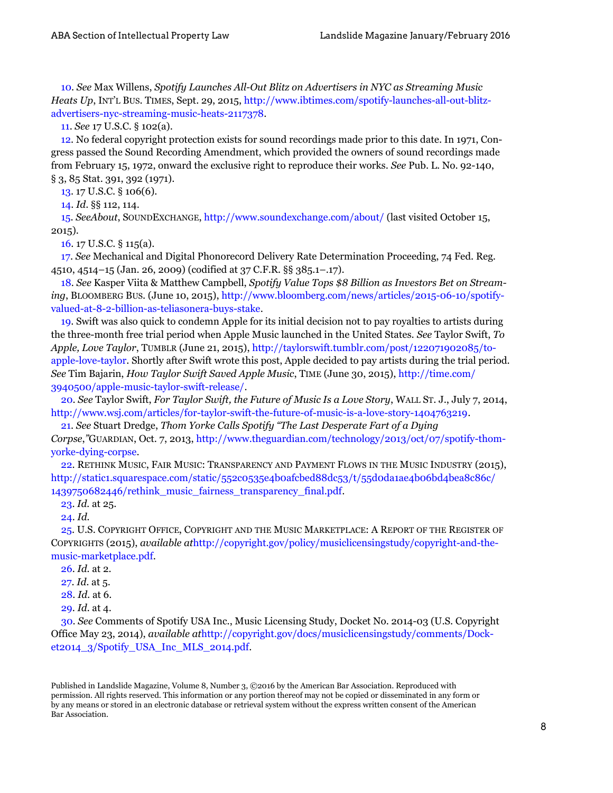<span id="page-7-0"></span>[10](#page-1-4). *See* Max Willens, *Spotify Launches All-Out Blitz on Advertisers in NYC as Streaming Music Heats Up*, INT'L BUS. TIMES, Sept. 29, 2015, [http://www.ibtimes.com/spotify-launches-all-out-blitz](http://www.ibtimes.com/spotify-launches-all-out-blitz-advertisers-nyc-streaming-music-heats-2117378)[advertisers-nyc-streaming-music-heats-2117378.](http://www.ibtimes.com/spotify-launches-all-out-blitz-advertisers-nyc-streaming-music-heats-2117378)

[11.](#page-1-5) *See* 17 U.S.C. § 102(a).

<span id="page-7-2"></span><span id="page-7-1"></span>[12.](#page-1-6) No federal copyright protection exists for sound recordings made prior to this date. In 1971, Congress passed the Sound Recording Amendment, which provided the owners of sound recordings made from February 15, 1972, onward the exclusive right to reproduce their works. *See* Pub. L. No. 92-140, § 3, 85 Stat. 391, 392 (1971).

[13.](#page-1-7) 17 U.S.C. § 106(6).

[14.](#page-2-0) *Id*. §§ 112, 114.

<span id="page-7-5"></span><span id="page-7-4"></span><span id="page-7-3"></span>[15.](#page-2-1) *SeeAbout*, SOUNDEXCHANGE, <http://www.soundexchange.com/about/>(last visited October 15, 2015).

[16.](#page-2-2) 17 U.S.C. § 115(a).

<span id="page-7-7"></span><span id="page-7-6"></span>[17](#page-2-3). *See* Mechanical and Digital Phonorecord Delivery Rate Determination Proceeding, 74 Fed. Reg. 4510, 4514–15 (Jan. 26, 2009) (codified at 37 C.F.R. §§ 385.1–.17).

<span id="page-7-8"></span>[18](#page-3-0). *See* Kasper Viita & Matthew Campbell, *Spotify Value Tops \$8 Billion as Investors Bet on Streaming*, BLOOMBERG BUS. (June 10, 2015), [http://www.bloomberg.com/news/articles/2015-06-10/spotify](http://www.bloomberg.com/news/articles/2015-06-10/spotify-valued-at-8-2-billion-as-teliasonera-buys-stake)[valued-at-8-2-billion-as-teliasonera-buys-stake](http://www.bloomberg.com/news/articles/2015-06-10/spotify-valued-at-8-2-billion-as-teliasonera-buys-stake).

<span id="page-7-9"></span>[19.](#page-3-1) Swift was also quick to condemn Apple for its initial decision not to pay royalties to artists during the three-month free trial period when Apple Music launched in the United States. *See* Taylor Swift, *To Apple, Love Taylor*, TUMBLR (June 21, 2015), [http://taylorswift.tumblr.com/post/122071902085/to](http://taylorswift.tumblr.com/post/122071902085/to-apple-love-taylor)[apple-love-taylor](http://taylorswift.tumblr.com/post/122071902085/to-apple-love-taylor). Shortly after Swift wrote this post, Apple decided to pay artists during the trial period. *See* Tim Bajarin, *How Taylor Swift Saved Apple Music*, TIME (June 30, 2015), [http://time.com/](http://time.com/3940500/apple-music-taylor-swift-release/) [3940500/apple-music-taylor-swift-release/](http://time.com/3940500/apple-music-taylor-swift-release/).

<span id="page-7-10"></span>[20.](#page-3-2) *See* Taylor Swift, *For Taylor Swift, the Future of Music Is a Love Story*, WALL ST. J., July 7, 2014, <http://www.wsj.com/articles/for-taylor-swift-the-future-of-music-is-a-love-story-1404763219>.

<span id="page-7-11"></span>[21.](#page-3-3) *See* Stuart Dredge, *Thom Yorke Calls Spotify "The Last Desperate Fart of a Dying Corpse*,*"*GUARDIAN, Oct. 7, 2013, [http://www.theguardian.com/technology/2013/oct/07/spotify-thom](http://www.theguardian.com/technology/2013/oct/07/spotify-thom-yorke-dying-corpse)[yorke-dying-corpse.](http://www.theguardian.com/technology/2013/oct/07/spotify-thom-yorke-dying-corpse)

<span id="page-7-12"></span>[22](#page-3-4). RETHINK MUSIC, FAIR MUSIC: TRANSPARENCY AND PAYMENT FLOWS IN THE MUSIC INDUSTRY (2015), [http://static1.squarespace.com/static/552c0535e4b0afcbed88dc53/t/55d0da1ae4b06bd4bea8c86c/](http://static1.squarespace.com/static/552c0535e4b0afcbed88dc53/t/55d0da1ae4b06bd4bea8c86c/1439750682446/rethink_music_fairness_transparency_final.pdf)  [1439750682446/rethink\\_music\\_fairness\\_transparency\\_final.pdf.](http://static1.squarespace.com/static/552c0535e4b0afcbed88dc53/t/55d0da1ae4b06bd4bea8c86c/1439750682446/rethink_music_fairness_transparency_final.pdf)

[23](#page-3-5). *Id.* at 25.

[24](#page-4-0). *Id.* 

<span id="page-7-15"></span><span id="page-7-14"></span><span id="page-7-13"></span> [25.](#page-4-1) U.S. COPYRIGHT OFFICE, COPYRIGHT AND THE MUSIC MARKETPLACE: A REPORT OF THE REGISTER OF COPYRIGHTS (2015), *available at*[http://copyright.gov/policy/musiclicensingstudy/copyright-and-the](http://copyright.gov/policy/musiclicensingstudy/copyright-and-the-music-marketplace.pdf)[music-marketplace.pdf](http://copyright.gov/policy/musiclicensingstudy/copyright-and-the-music-marketplace.pdf).

<span id="page-7-16"></span>[26](#page-4-2). *Id.* at 2.

<span id="page-7-17"></span>[27.](#page-4-3) *Id.* at 5.

[28.](#page-4-4) *Id.* at 6.

[29](#page-4-5). *Id.* at 4.

<span id="page-7-20"></span><span id="page-7-19"></span><span id="page-7-18"></span>[30.](#page-4-6) *See* Comments of Spotify USA Inc., Music Licensing Study, Docket No. 2014-03 (U.S. Copyright Office May 23, 2014), *available at*[http://copyright.gov/docs/musiclicensingstudy/comments/Dock](http://copyright.gov/docs/musiclicensingstudy/comments/Docket2014_3/Spotify_USA_Inc_MLS_2014.pdf)[et2014\\_3/Spotify\\_USA\\_Inc\\_MLS\\_2014.pdf.](http://copyright.gov/docs/musiclicensingstudy/comments/Docket2014_3/Spotify_USA_Inc_MLS_2014.pdf)

Published in Landslide Magazine, Volume 8, Number 3, ©2016 by the American Bar Association. Reproduced with permission. All rights reserved. This information or any portion thereof may not be copied or disseminated in any form or by any means or stored in an electronic database or retrieval system without the express written consent of the American Bar Association.